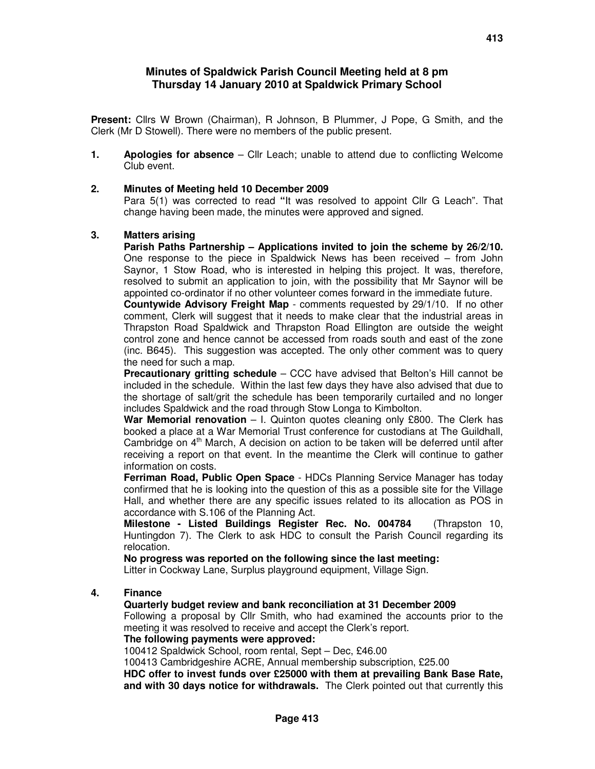## **Minutes of Spaldwick Parish Council Meeting held at 8 pm Thursday 14 January 2010 at Spaldwick Primary School**

**Present:** Cllrs W Brown (Chairman), R Johnson, B Plummer, J Pope, G Smith, and the Clerk (Mr D Stowell). There were no members of the public present.

**1. Apologies for absence** – Cllr Leach; unable to attend due to conflicting Welcome Club event.

#### **2. Minutes of Meeting held 10 December 2009**

Para 5(1) was corrected to read **"**It was resolved to appoint Cllr G Leach". That change having been made, the minutes were approved and signed.

#### **3. Matters arising**

**Parish Paths Partnership – Applications invited to join the scheme by 26/2/10.** One response to the piece in Spaldwick News has been received – from John Saynor, 1 Stow Road, who is interested in helping this project. It was, therefore, resolved to submit an application to join, with the possibility that Mr Saynor will be appointed co-ordinator if no other volunteer comes forward in the immediate future.

**Countywide Advisory Freight Map** - comments requested by 29/1/10. If no other comment, Clerk will suggest that it needs to make clear that the industrial areas in Thrapston Road Spaldwick and Thrapston Road Ellington are outside the weight control zone and hence cannot be accessed from roads south and east of the zone (inc. B645). This suggestion was accepted. The only other comment was to query the need for such a map.

**Precautionary gritting schedule** – CCC have advised that Belton's Hill cannot be included in the schedule. Within the last few days they have also advised that due to the shortage of salt/grit the schedule has been temporarily curtailed and no longer includes Spaldwick and the road through Stow Longa to Kimbolton.

**War Memorial renovation** – I. Quinton quotes cleaning only £800. The Clerk has booked a place at a War Memorial Trust conference for custodians at The Guildhall, Cambridge on  $4<sup>th</sup>$  March, A decision on action to be taken will be deferred until after receiving a report on that event. In the meantime the Clerk will continue to gather information on costs.

**Ferriman Road, Public Open Space** - HDCs Planning Service Manager has today confirmed that he is looking into the question of this as a possible site for the Village Hall, and whether there are any specific issues related to its allocation as POS in accordance with S.106 of the Planning Act.

**Milestone - Listed Buildings Register Rec. No. 004784** (Thrapston 10, Huntingdon 7). The Clerk to ask HDC to consult the Parish Council regarding its relocation.

**No progress was reported on the following since the last meeting:**

Litter in Cockway Lane, Surplus playground equipment, Village Sign.

### **4. Finance**

#### **Quarterly budget review and bank reconciliation at 31 December 2009**

Following a proposal by Cllr Smith, who had examined the accounts prior to the meeting it was resolved to receive and accept the Clerk's report.

#### **The following payments were approved:**

100412 Spaldwick School, room rental, Sept – Dec, £46.00

100413 Cambridgeshire ACRE, Annual membership subscription, £25.00

**HDC offer to invest funds over £25000 with them at prevailing Bank Base Rate, and with 30 days notice for withdrawals.** The Clerk pointed out that currently this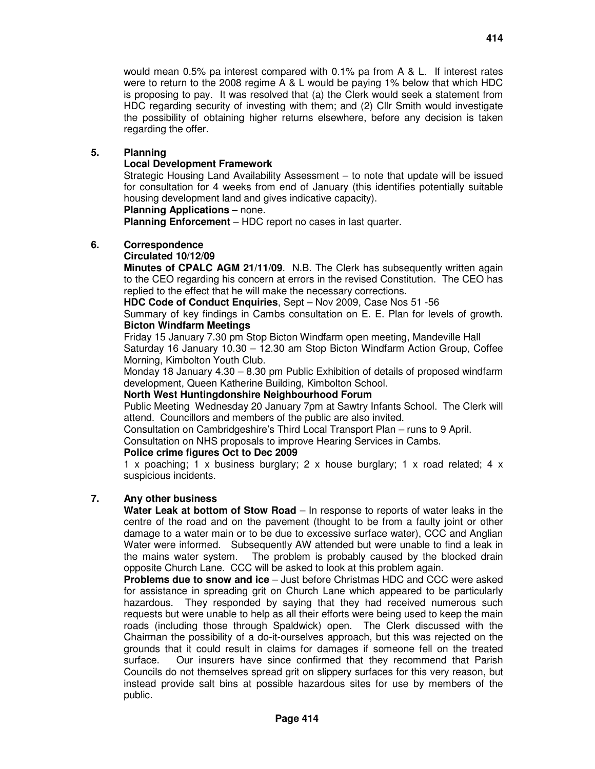would mean 0.5% pa interest compared with 0.1% pa from A & L. If interest rates were to return to the 2008 regime A & L would be paying 1% below that which HDC is proposing to pay. It was resolved that (a) the Clerk would seek a statement from HDC regarding security of investing with them; and (2) Cllr Smith would investigate the possibility of obtaining higher returns elsewhere, before any decision is taken regarding the offer.

### **5. Planning**

### **Local Development Framework**

Strategic Housing Land Availability Assessment – to note that update will be issued for consultation for 4 weeks from end of January (this identifies potentially suitable housing development land and gives indicative capacity).

#### **Planning Applications** – none.

**Planning Enforcement** – HDC report no cases in last quarter.

### **6. Correspondence**

## **Circulated 10/12/09**

**Minutes of CPALC AGM 21/11/09**. N.B. The Clerk has subsequently written again to the CEO regarding his concern at errors in the revised Constitution. The CEO has replied to the effect that he will make the necessary corrections.

**HDC Code of Conduct Enquiries**, Sept – Nov 2009, Case Nos 51 -56

Summary of key findings in Cambs consultation on E. E. Plan for levels of growth. **Bicton Windfarm Meetings**

 Friday 15 January 7.30 pm Stop Bicton Windfarm open meeting, Mandeville Hall Saturday 16 January 10.30 – 12.30 am Stop Bicton Windfarm Action Group, Coffee Morning, Kimbolton Youth Club.

Monday 18 January 4.30 – 8.30 pm Public Exhibition of details of proposed windfarm development, Queen Katherine Building, Kimbolton School.

### **North West Huntingdonshire Neighbourhood Forum**

Public Meeting Wednesday 20 January 7pm at Sawtry Infants School. The Clerk will attend. Councillors and members of the public are also invited.

Consultation on Cambridgeshire's Third Local Transport Plan – runs to 9 April.

Consultation on NHS proposals to improve Hearing Services in Cambs.

### **Police crime figures Oct to Dec 2009**

1 x poaching; 1 x business burglary; 2 x house burglary; 1 x road related; 4 x suspicious incidents.

# **7. Any other business**

**Water Leak at bottom of Stow Road** – In response to reports of water leaks in the centre of the road and on the pavement (thought to be from a faulty joint or other damage to a water main or to be due to excessive surface water), CCC and Anglian Water were informed. Subsequently AW attended but were unable to find a leak in the mains water system. The problem is probably caused by the blocked drain opposite Church Lane. CCC will be asked to look at this problem again.

**Problems due to snow and ice** – Just before Christmas HDC and CCC were asked for assistance in spreading grit on Church Lane which appeared to be particularly hazardous. They responded by saying that they had received numerous such requests but were unable to help as all their efforts were being used to keep the main roads (including those through Spaldwick) open. The Clerk discussed with the Chairman the possibility of a do-it-ourselves approach, but this was rejected on the grounds that it could result in claims for damages if someone fell on the treated surface. Our insurers have since confirmed that they recommend that Parish Councils do not themselves spread grit on slippery surfaces for this very reason, but instead provide salt bins at possible hazardous sites for use by members of the public.